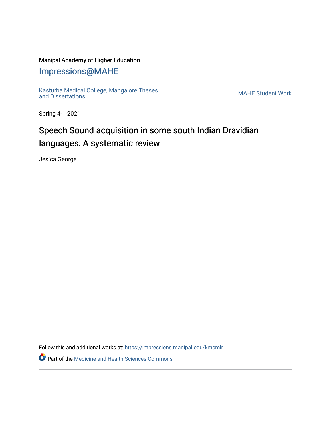### Manipal Academy of Higher Education

## [Impressions@MAHE](https://impressions.manipal.edu/)

[Kasturba Medical College, Mangalore Theses](https://impressions.manipal.edu/kmcmlr) Kasturba Medical College, Mangalore Theses<br>[and Dissertations](https://impressions.manipal.edu/kmcmlr) MAHE Student Work

Spring 4-1-2021

# Speech Sound acquisition in some south Indian Dravidian languages: A systematic review

Jesica George

Follow this and additional works at: [https://impressions.manipal.edu/kmcmlr](https://impressions.manipal.edu/kmcmlr?utm_source=impressions.manipal.edu%2Fkmcmlr%2F223&utm_medium=PDF&utm_campaign=PDFCoverPages) 

**Part of the Medicine and Health Sciences Commons**